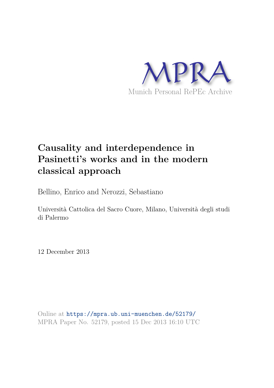

# **Causality and interdependence in Pasinetti's works and in the modern classical approach**

Bellino, Enrico and Nerozzi, Sebastiano

Università Cattolica del Sacro Cuore, Milano, Università degli studi di Palermo

12 December 2013

Online at https://mpra.ub.uni-muenchen.de/52179/ MPRA Paper No. 52179, posted 15 Dec 2013 16:10 UTC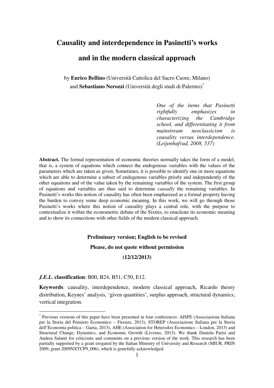### **Causality and interdependence in Pasinetti's works**

## **and in the modern classical approach**

by **Enrico Bellino** (Università Cattolica del Sacro Cuore, Milano) and **Sebastiano Nerozzi** (Università degli studi di Palermo)\*

> *One of the items that Pasinetti rightfully emphasizes in characterizing the Cambridge school, and differentiating it from mainstream neoclassicism is causality versus interdependence. (Leijonhufvud, 2008, 537)*

**Abstract.** The formal representation of economic theories normally takes the form of a model, that is, a system of equations which connect the endogenous variables with the values of the parameters which are taken as given. Sometimes, it is possible to identify one or more equations which are able to determine a subset of endogenous variables priorly and independently of the other equations and of the value taken by the remaining variables of the system. The first group of equations and variables are thus said to determine *causally* the remaining variables. In Pasinetti's works this notion of causality has often been emphasized as a formal property having the burden to convey some deep economic meaning. In this work, we will go through those Pasinetti's works where this notion of causality plays a central role, with the purpose to contextualize it within the econometric debate of the Sixties, to enucleate its economic meaning and to show its connections with other fields of the modern classical approach.

#### **Preliminary version; English to be revised**

#### **Please, do not quote without permission**

#### **(12/12/2013)**

#### *J.E.L.* **classification**: B00, B24, B51, C50, E12.

 $\overline{a}$ 

**Keywords**: causality, interdependence, modern classical approach, Ricardo theory distribution, Keynes' analysis, 'given quantities', surplus approach, structural dynamics, vertical integration.

<sup>\*</sup> Previous versions of this paper have been presented in four conferences: AISPE (Associazione Italiana per la Storia del Pensiero Economico – Firenze, 2013), STOREP (Associazione Italiana per la Storia dell'Economia politica – Gaeta, 2013), AHE (Association for Heterodox Economics – London, 2013) and Structural Change, Dynamics, and Economic Growth (Livorno, 2013). We thank Daniela Parisi and Andrea Salanti for criticisms and comments on a previous version of the work. This research has been partially supported by a grant erogated by the Italian Ministry of University and Research (MIUR, PRIN 2009, grant 2009NXTCP9\_006), which is gratefully acknowledged.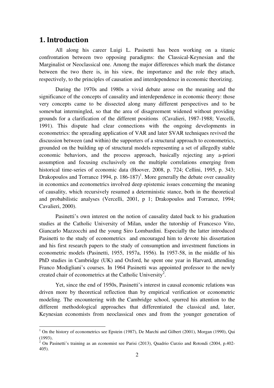## 1. Introduction

All along his career Luigi L. Pasinetti has been working on a titanic confrontation between two opposing paradigms: the Classical-Keynesian and the Marginalist or Neoclassical one. Among the major differences which mark the distance between the two there is, in his view, the importance and the role they attach, respectively, to the principles of causation and interdependence in economic theorizing.

During the 1970s and 1980s a vivid debate arose on the meaning and the significance of the concepts of causality and interdependence in economic theory: those very concepts came to be dissected along many different perspectives and to be somewhat intermingled, so that the area of disagreement widened without providing grounds for a clarification of the different positions (Cavalieri, 1987-1988; Vercelli, 1991). This dispute had clear connections with the ongoing developments in econometrics: the spreading application of VAR and later SVAR techniques revived the discussion between (and within) the supporters of a structural approach to econometrics, grounded on the building up of structural models representing a set of allegedly stable economic behaviors, and the process approach, basically rejecting any a-priori assumption and focusing exclusively on the multiple correlations emerging from historical time-series of economic data (Hoover, 2008, p. 724; Cellini, 1995, p. 343; Drakopoulos and Torrance 1994, p.  $186-187$ <sup>1</sup>. More generally the debate over causality in economics and econometrics involved deep epistemic issues concerning the meaning of causality, which recursively resumed a deterministic stance, both in the theoretical and probabilistic analyses (Vercelli, 2001, p 1; Drakopoulos and Torrance, 1994; Cavalieri, 2000).

Pasinetti's own interest on the notion of causality dated back to his graduation studies at the Catholic University of Milan, under the tutorship of Francesco Vito, Giancarlo Mazzocchi and the young Siro Lombardini. Especially the latter introduced Pasinetti to the study of econometrics and encouraged him to devote his dissertation and his first research papers to the study of consumption and investment functions in econometric models (Pasinetti, 1955, 1957a, 1956). In 1957-58, in the middle of his PhD studies in Cambridge (UK) and Oxford, he spent one year in Harvard, attending Franco Modigliani's courses. In 1964 Pasinetti was appointed professor to the newly created chair of econometrics at the Catholic University<sup>2</sup>.

Yet, since the end of 1950s, Pasinetti's interest in causal economic relations was driven more by theoretical reflection than by empirical verification or econometric modeling. The encountering with the Cambridge school, spurred his attention to the different methodological approaches that differentiated the classical and, later, Keynesian economists from neoclassical ones and from the younger generation of

 1 On the history of econometrics see Epstein (1987), De Marchi and Gilbert (2001), Morgan (1990), Qui (1993).

<sup>2</sup> On Pasinetti's training as an economist see Parisi (2013), Quadrio Curzio and Rotondi (2004, p.402- 405).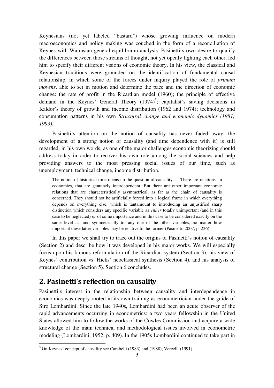Keynesians (not yet labeled "bastard") whose growing influence on modern macroeconomics and policy making was couched in the form of a reconciliation of Keynes with Walrasian general equilibrium analysis. Pasinetti's own desire to qualify the differences between those streams of thought, not yet openly fighting each other, led him to specify their different visions of economic theory. In his view, the classical and Keynesian traditions were grounded on the identification of fundamental causal relationship, in which some of the forces under inquiry played the role of *primum movens*, able to set in motion and determine the pace and the direction of economic change: the rate of profit in the Ricardian model (1960); the principle of effective demand in the Keynes' General Theory  $(1974)^3$ ; capitalist's saving decisions in Kaldor's theory of growth and income distribution (1962 and 1974); technology and consumption patterns in his own *Structural change and economic dynamics (1981; 1993)*.

Pasinetti's attention on the notion of causality has never faded away: the development of a strong notion of causality (and time dependence with it) is still regarded, in his own words, as one of the major challenges economic theorizing should address today in order to recover his own role among the social sciences and help providing answers to the most pressing social issues of our time, such as unemployment, technical change, income distribution.

The notion of historical time opens up the question of causality. ... There are relations, in economics, that are genuinely interdependent. But there are other important economic relations that are characteristically asymmetrical, as far as the chain of causality is concerned. They should not be artificially forced into a logical frame in which everything depends on everything else, which is tantamount to introducing an unjustified sharp distinction which considers any specific variable as *either* totally unimportant (and in this case to be neglected) *or* of some importance and in this case to be considered exactly on the same level as, and symmetrically to, any one of the other variables, no matter how important these latter variables may be relative to the former (Pasinetti, 2007, p. 226).

In this paper we shall try to trace out the origins of Pasinetti's notion of causality (Section 2) and describe how it was developed in his major works. We will especially focus upon his famous reformulation of the Ricardian system (Section 3), his view of Keynes' contribution vs. Hicks' neoclassical synthesis (Section 4), and his analysis of structural change (Section 5). Section 6 concludes.

### 2. Pasinetti's reflection on causality

Pasinetti's interest in the relationship between causality and interdependence in economics was deeply rooted in its own training as econometrician under the guide of Siro Lombardini. Since the late 1940s, Lombardini had been an acute observer of the rapid advancements occurring in econometrics: a two years fellowship in the United States allowed him to follow the works of the Cowles Commission and acquire a wide knowledge of the main technical and methodological issues involved in econometric modeling (Lombardini, 1952, p. 409). In the 1905s Lombardini continued to take part in

 3 On Keynes' concept of causality see Carabelli (1983) and (1988), Vercelli (1991).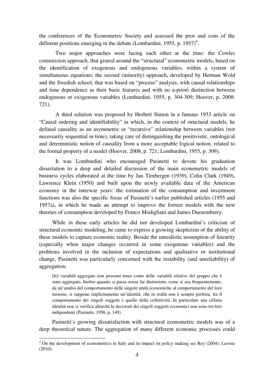the conferences of the Econometric Society and assessed the pros and cons of the different positions emerging in the debate (Lombardini, 1955, p. 1957)<sup>4</sup>.

Two major approaches were facing each other at the time: the Cowles commission approach, that geared around the "structural" econometric models, based on the identification of exogenous and endogenous variables, within a system of simultaneous equations; the second (minority) approach, developed by Herman Wold and the Swedish school, that was based on "process" analysis, with causal relationships and time dependence as their basic features and with no a-priori distinction between endogenous or exogenous variables (Lombardini, 1955, p. 304-309; Hoover, p. 2008: 721).

A third solution was proposed by Herbert Simon in a famous 1953 article on "Causal ordering and identifiability" in which, in the context of structural models, he defined causality as an asymmetric or "recursive" relationship between variables (not necessarily sequential in time), taking care of distinguishing the positivistic, ontological and deterministic notion of causality from a more acceptable logical notion, related to the formal property of a model (Hoover, 2008, p. 721; Lombardini, 1955, p. 309).

It was Lombardini who encouraged Pasinetti to devote his graduation dissertation to a deep and detailed discussion of the main econometric models of business cycles elaborated at the time by Jan Timbergen (1939), Colin Clark (1949), Lawrence Klein (1950) and built upon the newly available data of the American economy in the interwar years: the estimation of the consumption and investment functions was also the specific focus of Pasinetti's earlier published articles (1955 and 1957a), in which he made an attempt to improve the former models with the new theories of consumption developed by Franco Modigliani and James Duesemberry.

While in these early articles he did not developed Lombardini's criticism of structural economic modeling, he came to express a growing skepticism of the ability of these models to capture economic reality. Beside the unrealistic assumption of linearity (especially when major changes occurred in some exogenous variables) and the problems involved in the inclusion of expectations and qualitative or institutional change, Pasinetti was particularly concerned with the instability (and unreliability) of aggregation:

[le] variabili aggregate non possono tener conto delle variabili relative del gruppo che è stato aggregato. Inoltre quando si passa senza far distinzioni, come si usa frequentemente, da un'analisi del comportamento delle singole unità economiche al comportamento del loro insieme, si suppone implicitamente un'identità, che in realtà non è sempre perfetta, tra il comportamento dei singoli soggetti e quello della collettività. In particolare una siffatta identità non si verifica allorché le decisioni dei singoli soggetti economici non sono tra loro indipendenti (Pasinetti, 1956, p. 149).

Pasinetti's growing dissatisfaction with structural econometric models was of a deep theoretical nature. The aggregation of many different economic processes could

 4 On the development of econometrics in Italy and its impact on policy making see Rey (2004); Lavista (2010).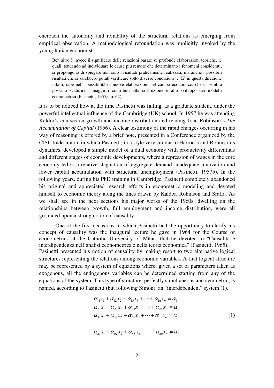encroach the autonomy and reliability of the structural relations as emerging from empirical observation. A methodological refoundation was implicitly invoked by the young Italian economist:

Ben altro è invece il significato delle relazioni basate su profonde elaborazioni teoriche, le quali, tendendo ad individuare le cause più remote che determinano i fenomeni considerati, si propongono di spiegare non solo i risultati praticamente realizzati, ma anche i possibili risultati che si sarebbero potuti verificare sotto diverse condizioni … E' in questa direzione infatti, cioè nella possibilità di nuove elaborazioni nel campo economico, che ci sembra possano scaturire i maggiori contributi alla costruzione e allo sviluppo dei modelli econometrici (Pasinetti, 1957a, p. 62).

It is to be noticed how at the time Pasinetti was falling, as a graduate student, under the powerful intellectual influence of the Cambridge (UK) school. In 1957 he was attending Kaldor's courses on growth and income distribution and reading Joan Robinson's *The Accumulation of Capital* (1956). A clear testimony of the rapid changes occurring in his way of reasoning is offered by a brief note, presented in a Conference organized by the CISL trade-union, in which Pasinetti, in a style very similar to Harrod's and Robinson's dynamics, developed a simple model of a dual economy with productivity differentials and different stages of economic developments, where a repression of wages in the core economy led to a relative stagnation of aggregate demand, inadequate innovation and lower capital accumulation with structural unemployment (Pasinetti, 1957b). In the following years, during his PhD training in Cambridge, Pasinetti completely abandoned his original and appreciated research efforts in econometric modeling and devoted himself to economic theory along the lines drawn by Kaldor, Robinson and Sraffa. As we shall see in the next sections his major works of the 1960s, dwelling on the relationships between growth, full employment and income distribution, were all grounded upon a strong notion of causality.

One of the first occasions in which Pasinetti had the opportunity to clarify his concept of causality was the inaugural lecture he gave in 1964 for the Course of econometrics at the Catholic University of Milan, that he devoted to "Causalità e interdipendenza nell'analisi econometrica e nella teoria economica" (Pasinetti, 1965). Pasinetti presented his notion of causality by making resort to two alternative logical structures representing the relations among economic variables. A first logical structure may be represented by a system of equations where, given a set of parameters taken as exogenous, all the endogenous variables can be determined starting from any of the equations of the system. This type of structure, perfectly simultaneous and symmetric, is named, according to Pasinetti (but following Simon), an "interdependent" system (1).

$$
\alpha_{11}x_1 + \alpha_{12}x_2 + \alpha_{13}x_3 + \cdots + \alpha_{1n}x_n = \alpha_1 \n\alpha_{21}x_1 + \alpha_{22}x_2 + \alpha_{23}x_3 + \cdots + \alpha_{2n}x_n = \alpha_2 \n\alpha_{31}x_1 + \alpha_{32}x_2 + \alpha_{33}x_3 + \cdots + \alpha_{3n}x_n = \alpha_3
$$
\n(1)

$$
\alpha_{n1}x_1 + \alpha_{n2}x_2 + \alpha_{n3}x_3 + \cdots + \alpha_{nn}x_n = \alpha_n
$$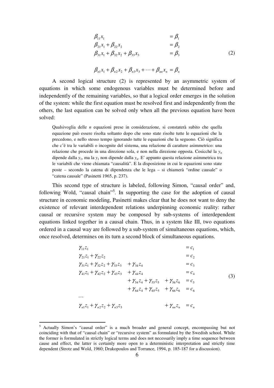$$
\begin{aligned}\n\beta_{11}x_1 &= \beta_1 \\
\beta_{21}x_1 + \beta_{22}x_2 &= \beta_2 \\
\beta_{31}x_1 + \beta_{32}x_2 + \beta_{33}x_3 &= \beta_3\n\end{aligned}
$$
\n(2)

$$
\beta_{n1}x_1+\beta_{n2}x_2+\beta_{n3}x_3+\cdots+\beta_{nn}x_n=\beta_n
$$

A second logical structure (2) is represented by an asymmetric system of equations in which some endogenous variables must be determined before and independently of the remaining variables, so that a logical order emerges in the solution of the system: while the first equation must be resolved first and independently from the others, the last equation can be solved only when all the previous equation have been solved:

Qualsivoglia delle *n* equazioni prese in considerazione, si constaterà subito che quella equazione può essere risolta soltanto dopo che sono state risolte tutte le equazioni che la precedono, e nello stesso tempo ignorando tutte le equazioni che la seguono. Ciò significa che c'è tra le variabili o incognite del sistema, una relazione di carattere asimmetrico: una relazione che procede in una direzione sola, e non nella direzione opposta. Cosicché la *y<sup>n</sup>* dipende dalla  $y_1$ , ma la  $y_1$  non dipende dalla  $y_n$ . E' appunto questa relazione asimmetrica tra le variabili che viene chiamata "causalità". E la disposizione in cui le equazioni sono state poste – secondo la catena di dipendenza che le lega – si chiamerà "ordine causale" o "catena causale" (Pasinetti 1965, p. 237).

This second type of structure is labeled, following Simon, "causal order" and, following Wold, "causal chain"<sup>5</sup>. In supporting the case for the adoption of causal structure in economic modeling, Pasinetti makes clear that he does not want to deny the existence of relevant interdependent relations underpinning economic reality: rather causal or recursive system may be composed by sub-systems of interdependent equations linked together in a causal chain. Thus, in a system like III, two equations ordered in a causal way are followed by a sub-system of simultaneous equations, which, once resolved, determines on its turn a second block of simultaneous equations.

$$
\gamma_{11}z_{1} = c_{1}
$$
\n
$$
\gamma_{21}z_{1} + \gamma_{22}z_{2} = c_{2}
$$
\n
$$
\gamma_{31}z_{1} + \gamma_{32}z_{2} + \gamma_{33}z_{3} + \gamma_{34}z_{4} = c_{3}
$$
\n
$$
\gamma_{41}z_{1} + \gamma_{42}z_{2} + \gamma_{43}z_{3} + \gamma_{44}z_{4} = c_{4}
$$
\n
$$
+ \gamma_{54}z_{4} + \gamma_{55}z_{5} + \gamma_{56}z_{6} = c_{5}
$$
\n
$$
+ \gamma_{64}z_{4} + \gamma_{65}z_{5} + \gamma_{66}z_{6} = c_{6}
$$
\n
$$
\dots
$$
\n
$$
\gamma_{n1}z_{1} + \gamma_{n2}z_{2} + \gamma_{n3}z_{3} + \gamma_{nn}z_{n} = c_{n}
$$
\n(3)

<sup>&</sup>lt;sup>5</sup> Actually Simon's "causal order" is a much broader and general concept, encompassing but not coinciding with that of "causal chain" or "recursive system" as formulated by the Swedish school. While the former is formulated in strictly logical terms and does not necessarily imply a time sequence between cause and effect, the latter is certainly more open to a deterministic interpretation and strictly time dependent (Strotz and Wold, 1960; Drakopoulos and Torrance, 1994, p. 185-187 for a discussion).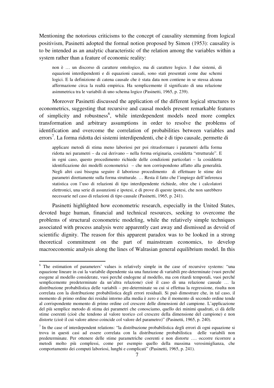Mentioning the notorious criticisms to the concept of causality stemming from logical positivism, Pasinetti adopted the formal notion proposed by Simon (1953): causality is to be intended as an analytic characteristic of the relation among the variables within a system rather than a feature of economic reality:

non è … un discorso di carattere ontologico, ma di carattere logico. I due sistemi, di equazioni interdipendenti e di equazioni causali, sono stati presentati come due schemi logici. E la definizione di catena causale che è stata data non contiene in se stessa alcuna affermazione circa la realtà empirica. Ha semplicemente il significato di una relazione asimmetrica tra le variabili di uno schema logico (Pasinetti, 1965, p. 239).

Moreover Pasinetti discussed the application of the different logical structures to econometrics, suggesting that recursive and causal models present remarkable features of simplicity and robustness<sup>6</sup>, while interdependent models need more complex transformation and arbitrary assumptions in order to resolve the problems of identification and overcome the correlation of probabilities between variables and errors<sup>7</sup>. La forma ridotta dei sistemi interdipendenti, che è di tipo causale, permette di

applicare metodi di stima meno laboriosi per poi ritrasformare i parametri della forma ridotta nei parametri – da cui derivano – nella forma originaria, cosiddetta "strutturale". E in ogni caso, questo procedimento richiede delle condizioni particolari – la cosiddetta identificazione dei modelli econometrici – che non corrispondono affatto alla generalità. Negli altri casi bisogna seguire il laborioso procedimento di effettuare le stime dei parametri direttamente sulla forma strutturale. … Resta il fatto che l'impiego dell'inferenza statistica con l'uso di relazioni di tipo interdipendente richiede, oltre che i calcolatori elettronici, una serie di assunzioni e ipotesi, e di prove di queste ipotesi, che non sarebbero necessarie nel caso di relazioni di tipo causale (Pasinetti, 1965, p. 241).

Pasinetti highlighted how econometric research, especially in the United States, devoted huge human, financial and technical resources, seeking to overcome the problems of structural econometric modeling, while the relatively simple techniques associated with process analysis were apparently cast away and dismissed as devoid of scientific dignity. The reason for this apparent paradox was to be looked in a strong theoretical commitment on the part of mainstream economics, to develop macroeconomic analysis along the lines of Walrasian general equilibrium model. In this

<sup>&</sup>lt;sup>6</sup> The estimation of parameters' values is relatively simple in the case of recursive systems: "una equazione lineare in cui la variabile dipendente sia una funzione di variabili pre-determinate (vuoi perché esogene al modello considerate, vuoi perché endogene al modello, ma con ritardi temporali, vuoi perché semplicemente predeterminate da un'altra relazione) cioè il caso di una relazione causale … la distribuzione probabilistica delle variabili – pre-determinate su cui si effettua la regressione, risulta non correlata con la distribuzione probabilistica degli errori residuali. Si può dimostrare che, in tal caso, il momento di primo ordine dei residui intorno alla media è zero e che il momento di secondo ordine tende al corrispondente momento di primo ordine col crescere delle dimensioni del campione. L'applicazione del più semplice metodo di stima dei parametri che conosciamo, quello dei minimi quadrati, ci dà delle stime coerenti (cioè che tendono al valore teorico col crescere della dimensione del campione) e non distorte (cioè il cui valore atteso coincide col valore del parametro)" (Pasinetti, 1965, p. 240).

<sup>&</sup>lt;sup>7</sup> In the case of interdependent relations: "la distribuzione probabilistica degli errori di ogni equazione si trova in questi casi ad essere correlata con la distribuzione probabilistica delle variabili non predeterminate. Per ottenere delle stime parametriche coerenti e non distorte …. occorre ricorrere a metodi molto più complessi, come per esempio quello della massima verosimiglianza, che comportamento dei computi laboriosi, lunghi e complicati" (Pasinetti, 1965, p. 241).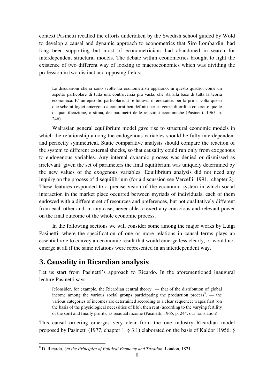context Pasinetti recalled the efforts undertaken by the Swedish school guided by Wold to develop a causal and dynamic approach to econometrics that Siro Lombardini had long been supporting but most of econometricians had abandoned in search for interdependent structural models. The debate within econometrics brought to light the existence of two different way of looking to macroeconomics which was dividing the profession in two distinct and opposing fields:

Le discussioni che si sono svolte tra econometristi appaiono, in questo quadro, come un aspetto particolare di tutta una controversia più vasta, che sta alla base di tutta la teoria economica. E' un episodio particolare, sì, e tuttavia interessante: per la prima volta questi due schemi logici emergono a contorni ben definiti per esigenze di ordine concreto: quelle di quantificazione, o stima, dei parametri delle relazioni economiche (Pasinetti, 1965, p. 246).

Walrasian general equilibrium model gave rise to structural economic models in which the relationship among the endogenous variables should be fully interdependent and perfectly symmetrical. Static comparative analysis should compare the reaction of the system to different external shocks, so that causality could run only from exogenous to endogenous variables. Any internal dynamic process was denied or dismissed as irrelevant: given the set of parameters the final equilibrium was uniquely determined by the new values of the exogenous variables. Equilibrium analysis did not need any inquiry on the process of disequilibrium (for a discussion see Vercelli, 1991, chapter 2). These features responded to a precise vision of the economic system in which social interaction in the market place occurred between myriads of individuals, each of them endowed with a different set of resources and preferences, but not qualitatively different from each other and, in any case, never able to exert any conscious and relevant power on the final outcome of the whole economic process.

In the following sections we will consider some among the major works by Luigi Pasinetti, where the specification of one or more relations in causal terms plays an essential role to convey an economic result that would emerge less clearly, or would not emerge at all if the same relations were represented in an interdependent way.

## 3. Causality in Ricardian analysis

Let us start from Pasinetti's approach to Ricardo. In the aforementioned inaugural lecture Pasinetti says:

[c]onsider, for example, the Ricardian central theory — that of the distribution of global income among the various social groups participating the production process<sup>8</sup>. — the various categories of incomes are determined according to a clear sequence: wages first (on the basis of the physiological necessities of life), then rent (according to the varying fertility of the soil) and finally profits, as residual income (Pasinetti, 1965, p. 244, our translation).

This causal ordering emerges very clear from the one industry Ricardian model proposed by Pasinetti (1977, chapter 1, § 3.1) elaborated on the basis of Kaldor (1956, §

 8 D. Ricardo, *On the Principles of Political Economy and Taxation*, London, 1821.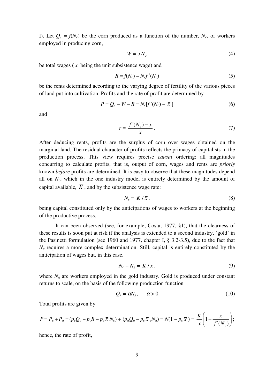I). Let  $Q_c = f(N_c)$  be the corn produced as a function of the number,  $N_c$ , of workers employed in producing corn,

$$
W = \bar{x}N_c \tag{4}
$$

be total wages ( $\bar{x}$  being the unit subsistence wage) and

$$
R = f(N_c) - N_c f'(N_c)
$$
\n<sup>(5)</sup>

be the rents determined according to the varying degree of fertility of the various pieces of land put into cultivation. Profits and the rate of profit are determined by

$$
P = Q_c - W - R = N_c[f'(N_c) - \bar{x}]
$$
\n(6)

and

$$
r = \frac{f'(N_c) - \overline{x}}{\overline{x}}\,. \tag{7}
$$

After deducing rents, profits are the surplus of corn over wages obtained on the marginal land. The residual character of profits reflects the primacy of capitalists in the production process. This view requires precise *causal* ordering: all magnitudes concurring to calculate profits, that is, output of corn, wages and rents are *priorly* known *before* profits are determined. It is easy to observe that these magnitudes depend all on *Nc*, which in the one industry model is entirely determined by the amount of capital available,  $\overline{K}$ , and by the subsistence wage rate:

$$
N_c = \overline{K}/\overline{x},\qquad(8)
$$

being capital constituted only by the anticipations of wages to workers at the beginning of the productive process.

 It can been observed (see, for example, Costa, 1977, §1), that the clearness of these results is soon put at risk if the analysis is extended to a second industry, 'gold' in the Pasinetti formulation (see 1960 and 1977, chapter I, § 3.2-3.5), due to the fact that  $N_c$  requires a more complex determination. Still, capital is entirely constituted by the anticipation of wages but, in this case,

$$
N_c + N_g = \overline{K} / \overline{x}, \qquad (9)
$$

where  $N_g$  are workers employed in the gold industry. Gold is produced under constant returns to scale, on the basis of the following production function

$$
Q_g = \alpha N_g, \qquad \alpha > 0 \tag{10}
$$

Total profits are given by

$$
P = P_c + P_g = (p_c Q_c - p_c R - p_c \overline{x} N_c) + (p_g Q_g - p_c \overline{x} c N_g) = N(1 - p_c \overline{x}) = \frac{\overline{K}}{\overline{x}} \left(1 - \frac{\overline{x}}{f'(N_c)}\right);
$$

hence, the rate of profit,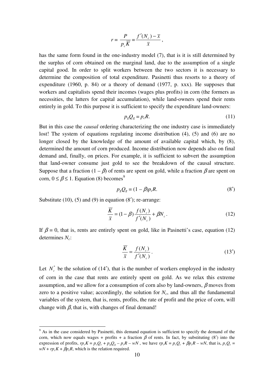$$
r = \frac{P}{p_c \overline{K}} = \frac{f'(N_c) - \overline{x}}{\overline{x}},
$$

has the same form found in the one-industry model (7), that is it is still determined by the surplus of corn obtained on the marginal land, due to the assumption of a single capital good. In order to split workers between the two sectors it is necessary to determine the composition of total expenditure. Pasinetti thus resorts to a theory of expenditure (1960, p. 84) or a theory of demand (1977, p. xxx). He supposes that workers and capitalists spend their incomes (wages plus profits) in corn (the formers as necessities, the latters for capital accumulation), while land-owners spend their rents entirely in gold. To this purpose it is sufficient to specify the expenditure land-owners:

$$
p_g Q_g = p_c R. \tag{11}
$$

But in this case the *causal* ordering characterizing the one industry case is immediately lost! The system of equations regulating income distribution (4), (5) and (6) are no longer closed by the knowledge of the amount of available capital which, by (8), determined the amount of corn produced. Income distribution now depends also on final demand and, finally, on prices. For example, it is sufficient to subvert the assumption that land-owner consume just gold to see the breakdown of the causal structure. Suppose that a fraction  $(1 - \beta)$  of rents are spent on gold, while a fraction  $\beta$  are spent on corn,  $0 \le \beta \le 1$ . Equation (8) becomes<sup>9</sup>

$$
p_g Q_g = (1 - \beta)p_c R. \tag{8'}
$$

Substitute  $(10)$ ,  $(5)$  and  $(9)$  in equation  $(8')$ ; re-arrange:

$$
\frac{\overline{K}}{\overline{x}} = (1 - \beta) \frac{f(N_c)}{f'(N_c)} + \beta N_c.
$$
\n(12)

If  $\beta = 0$ , that is, rents are entirely spent on gold, like in Pasinetti's case, equation (12) determines *Nc*:

$$
\frac{\overline{K}}{\overline{x}} = \frac{f(N_c)}{f'(N_c)}.
$$
\n(13')

Let  $N_c^*$  be the solution of (14<sup>'</sup>), that is the number of workers employed in the industry of corn in the case that rents are entirely spent on gold. As we relax this extreme assumption, and we allow for a consumption of corn also by land-owners,  $\beta$  moves from zero to a positive value; accordingly, the solution for  $N_c$ , and thus all the fundamental variables of the system, that is, rents, profits, the rate of profit and the price of corn, will change with  $\beta$ , that is, with changes of final demand!

<sup>&</sup>lt;sup>9</sup> As in the case considered by Pasinetti, this demand equation is sufficient to specify the demand of the corn, which now equals wages + profits + a fraction  $\beta$  of rents. In fact, by substituting (8') into the expression of profits,  $rp_cK = p_cQ_c + p_gQ_g - p_cR - wN$ , we have  $rp_cK = p_cQ_c + \beta p_cR - wN$ , that is,  $p_cQ_c =$  $wN + rp_cK + \beta p_cR$ , which is the relation required.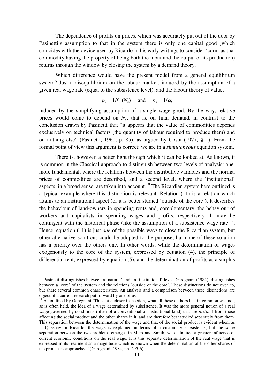The dependence of profits on prices, which was accurately put out of the door by Pasinetti's assumption to that in the system there is only one capital good (which coincides with the device used by Ricardo in his early writings to consider 'corn' as that commodity having the property of being both the input and the output of its production) returns through the window by closing the system by a demand theory.

Which difference would have the present model from a general equilibrium system? Just a disequilibrium on the labour market, induced by the assumption of a given real wage rate (equal to the subsistence level), and the labour theory of value,

$$
p_c = 1/f'(N_c)
$$
 and  $p_g = 1/\alpha$ ,

induced by the simplifying assumption of a single wage good. By the way, relative prices would come to depend on  $N_c$ , that is, on final demand, in contrast to the conclusion drawn by Pasinetti that "it appears that the value of commodities depends exclusively on technical factors (the quantity of labour required to produce them) and on nothing else" (Pasinetti, 1960, p. 85), as argued by Costa (1977, § 1). From the formal point of view this argument is correct: we are in a *simultaneous* equation system.

 There is, however, a better light through which it can be looked at. As known, it is common in the Classical approach to distinguish between two levels of analysis: one, more fundamental, where the relations between the distributive variables and the normal prices of commodities are described, and a second level, where the 'institutional' aspects, in a broad sense, are taken into account.<sup>10</sup> The Ricardian system here outlined is a typical example where this distinction is relevant. Relation (11) is a relation which attains to an institutional aspect (or it is better studied 'outside of the core'). It describes the behaviour of land-owners in spending rents and, complementary, the behaviour of workers and capitalists in spending wages and profits, respectively. It may be contingent with the historical phase (like the assumption of a subsistence wage rate<sup>11</sup>). Hence, equation (11) is just *one* of the possible ways to close the Ricardian system, but other alternative solutions could be adopted to the purpose, but none of these solution has a priority over the others one. In other words, while the determination of wages exogenously to the core of the system, expressed by equation (4), the principle of differential rent, expressed by equation (5), and the determination of profits as a surplus

<sup>&</sup>lt;sup>10</sup> Pasinetti distinguishes between a 'natural' and an 'institutional' level. Garegnani (1984), distinguishes between a 'core' of the system and the relations 'outside of the core'. These distinctions do not overlap, but share several common characteristics. An analysis and a comparison between these distinctions are object of a current research put forward by one of us.

 $11$  As outlined by Garegnani 'Thus, at a closer inspection, what all these authors had in common was not, as is often held, the idea of a wage determined by subsistence. It was the more general notion of a real wage governed by conditions (often of a conventional or institutional kind) that are *distinct* from those affecting the social product and the other shares in it, and are therefore best studied separately from them. This separation between the determination of the wage and that of the social product is evident when, as in Quesnay or Ricardo, the wage is explained in terms of a customary subsistence, but the same separation between the two problems emerges in Marx and Smith, who admitted a greater influence of current economic conditions on the real wage. It is this separate determination of the real wage that is expressed in its treatment as a magnitude which is known when the determination of the other shares of the product is approached" (Garegnani, 1984, pp. 295-6).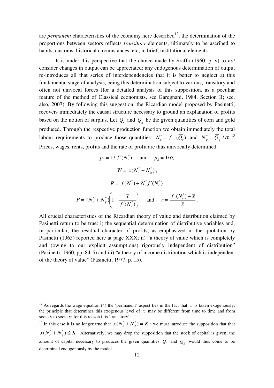are *permanent* characteristics of the economy here described<sup>12</sup>, the determination of the proportions between sectors reflects *transitory* elements, ultimately to be ascribed to habits, customs, historical circumstances, etc; in brief, institutional elements.

 It is under this perspective that the choice made by Sraffa (1960, p. v) to *not* consider changes in output can be appreciated: any endogenous determination of output re-introduces all that series of interdependencies that it is better to neglect at this fundamental stage of analysis, being this determination subject to various, transitory and often not univocal forces (for a detailed analysis of this supposition, as a peculiar feature of the method of Classical economists, see Garegnani, 1984, Section II; see, also, 2007). By following this suggestion, the Ricardian model proposed by Pasinetti, recovers immediately the causal structure necessary to ground an explanation of profits based on the notion of surplus. Let  $Q_c$  and  $Q_g$  be the given quantities of corn and gold produced. Through the respective production function we obtain immediately the total labour requirements to produce those quantities:  $N_c^* = f^{-1}(\overline{Q}_c)$  and  $N_g^* = \overline{Q}_g / \alpha$ .<sup>13</sup> Prices, wages, rents, profits and the rate of profit are thus univocally determined:

$$
p_c = 1/f'(N_c^*) \quad \text{and} \quad p_g = 1/\alpha,
$$
  

$$
W = \overline{x}(N_c^* + N_g^*),
$$
  

$$
R = f(N_c^*) + N_c^* f'(N_c^*)
$$
  

$$
P = (N_c^* + N_g^*) \left(1 - \frac{\overline{x}}{f'(N_c^*)}\right) \quad \text{and} \quad r = \frac{f'(N_c^*) - \overline{x}}{\overline{x}}.
$$

All crucial characteristics of the Ricardian theory of value and distribution claimed by Pasinetti return to be true: i) the sequential determination of distributive variables and, in particular, the residual character of profits, as emphasized in the quotation by Pasinetti (1965) reported here at page XXX; ii) "a theory of value which is completely and (owing to our explicit assumptions) rigorously independent of distribution" (Pasinetti, 1960, pp. 84-5) and iii) "a theory of income distribution which is independent of the theory of value" (Pasinetti, 1977, p. 15).

<sup>&</sup>lt;sup>12</sup> As regards the wage equation (4) the 'permanent' aspect lies in the fact that  $\bar{x}$  is taken exogenously; the principle that determines this exogenous level of  $\bar{x}$  may be different from time to time and from society to society; for this reason it is 'transitory'.

<sup>&</sup>lt;sup>13</sup> In this case it is no longer true that  $\overline{x}(N_c^* + N_g^*) = \overline{K}$ ; we must introduce the supposition that that  $\overline{x}(N_c^* + N_g^*) \leq \overline{K}$ . Alternatively, we may drop the supposition that the stock of capital is given; the amount of capital necessary to produces the given quantities  $Q_c$  and  $Q_g$  would thus come to be determined endogenously by the model.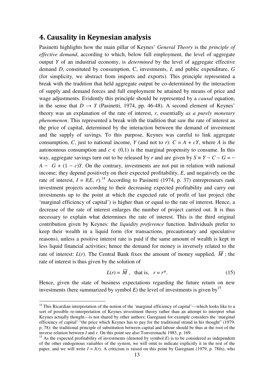## 4. Causality in Keynesian analysis

Pasinetti highlights how the main pillar of Keynes' *General Theory* is the *principle of effective demand*, according to which, below full employment, the level of aggregate output *Y* of an industrial economy, is *determined* by the level of aggregate effective demand *D*, constituted by consumption, C, investments, *I*, and public expenditure, *G* (for simplicity, we abstract from imports and exports). This principle represented a break with the tradition that held aggregate output be co-determined by the interaction of supply and demand forces and full employment be attained by means of price and wage adjustments. Evidently this principle should be represented by a *causal* equation, in the sense that  $D \rightarrow Y$  (Pasinetti, 1974, pp. 46-48). A second element of Keynes' theory was an explanation of the rate of interest, *r*, essentially *as a purely monetary phenomenon*. This represented a break with the tradition that saw the rate of interest as the price of capital, determined by the interaction between the demand of investment and the supply of savings. To this purpose, Keynes was careful to link aggregate consumption, *C*, just to national income, *Y* (and not to *r*):  $C = A + cY$ , where *A* is the autonomous consumption and  $c \in (0,1)$  is the marginal propensity to consume. In this way, aggregate savings turn out to be released by *r* and are given by  $S = Y - C - G = A - G + (1 - c)Y$ . On the contrary, investments are not put in relation with national income; they depend positively on their expected profitability, *E*, and negatively on the rate of interest,  $I = I(E, r)$ .<sup>14</sup> According to Pasinetti (1974, p. 37) entrepreneurs rank investment projects according to their decreasing expected profitability and carry out investments up to the point at which the expected rate of profit of last project (the 'marginal efficiency of capital') is higher than or equal to the rate of interest. Hence, a decrease of the rate of interest enlarges the number of project carried out. It is thus necessary to explain what determines the rate of interest. This is the third original contribution given by Keynes: the *liquidity preference* function. Individuals prefer to keep their wealth in a liquid form (for transactions, precautionary and speculative reasons), unless a positive interest rate is paid if the same amount of wealth is kept in less liquid financial activities; hence the demand for money is inversely related to the rate of interest:  $L(r)$ . The Central Bank fixes the amount of money supplied,  $\overline{M}$ ; the rate of interest is thus given by the solution of

$$
L(r) = \overline{M}, \text{ that is, } r = r^*.
$$
 (15)

Hence, given the state of business expectations regarding the future return on new investments (here summarized by symbol  $E$ ) the level of investments is given by  $15$ 

<sup>&</sup>lt;sup>14</sup> This Ricardian interpretation of the notion of the 'marginal efficiency of capital'—which looks like to a sort of possible re-interpretation of Keynes investment theory rather than an attempt to interpret what Keynes actually thought—is not shared by other authors; Garegnani for example considers the 'marginal efficiency of capital' "the price which Keynes has to pay for the traditional strand in his thought" (1979, p. 78): the traditional principle of substitution between capital and labour should be thus at the root of the inverse relation between *I* and *r*. On this point see also Tonveronachi 1983, p. 169.

<sup>&</sup>lt;sup>15</sup> As the expected profitability of investments (denoted by symbol  $E$ ) is to be considered as independent of the other endogenous variables of the system, we will omit to indicate explicitly it in the rest of the paper, and we will write  $I = I(r)$ . A criticism is raised on this point by Garegnani (1979, p. 78fn), who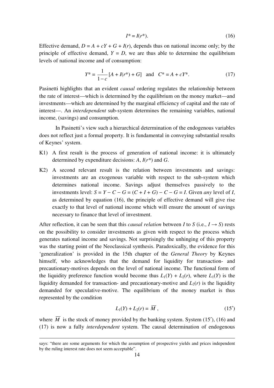$$
I^* = I(r^*). \tag{16}
$$

Effective demand,  $D = A + cY + G + I(r)$ , depends thus on national income only; by the principle of effective demand,  $Y = D$ , we are thus able to determine the equilibrium levels of national income and of consumption:

$$
Y^* = \frac{1}{1-c} [A + I(r^*) + G] \text{ and } C^* = A + cY^*.
$$
 (17)

Pasinetti highlights that an evident *causal* ordering regulates the relationship between the rate of interest—which is determined by the equilibrium on the money market—and investments—which are determined by the marginal efficiency of capital and the rate of interest—. An *interdependent* sub-system determines the remaining variables, national income, (savings) and consumption.

 In Pasinetti's view such a hierarchical determination of the endogenous variables does not reflect just a formal property. It is fundamental in conveying substantial results of Keynes' system.

- K1) A first result is the process of generation of national income: it is ultimately determined by expenditure decisions: *A*, *I*(*r\**) and *G*.
- K2) A second relevant result is the relation between investments and savings: investments are an exogenous variable with respect to the sub-system which determines national income. Savings adjust themselves passively to the investments level:  $S = Y - C - G = (C + I + G) - C - G = I$ . Given *any* level of *I*, as determined by equation (16), the principle of effective demand will give rise exactly to that level of national income which will ensure the amount of savings necessary to finance that level of investment.

After reflection, it can be seen that this *causal relation* between *I* to *S* (i.e.,  $I \rightarrow S$ ) rests on the possibility to consider investments as given with respect to the process which generates national income and savings. Not surprisingly the unhinging of this property was the starting point of the Neoclassical synthesis. Paradoxically, the evidence for this 'generalization' is provided in the 15th chapter of the *General Theory* by Keynes himself, who acknowledges that the demand for liquidity for transaction- and precautionary-motives depends on the level of national income. The functional form of the liquidity preference function would become thus  $L_1(Y) + L_2(r)$ , where  $L_1(Y)$  is the liquidity demanded for transaction- and precautionary-motive and  $L_2(r)$  is the liquidity demanded for speculative-motive. The equilibrium of the money market is thus represented by the condition

$$
L_1(Y) + L_2(r) = \overline{M}, \qquad (15')
$$

where  $\overline{M}$  is the stock of money provided by the banking system. System (15<sup>'</sup>), (16) and (17) is now a fully *interdependent* system. The causal determination of endogenous

<u>.</u>

says: "there are some arguments for which the assumption of prospective yields and prices independent by the ruling interest rate does not seem acceptable".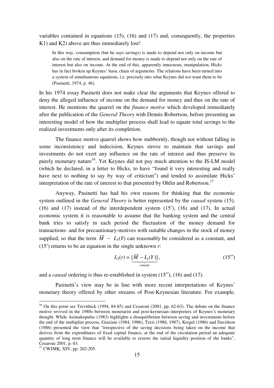variables contained in equations (15), (16) and (17) and, consequently, the properties K<sub>1</sub>) and K<sub>2</sub>) above are thus immediately lost!

In this way, consumption (but he says savings) is made to depend not only on income but also on the rate of interest, and demand for money is made to depend not only on the rate of interest but also on income. At the end of this, apparently innocuous, manipulation, Hicks has in fact broken up Keynes' basic chain of arguments. The relations have been turned into a system of simultaneous equations, i.e. precisely into what Keynes did *not* want them to be (Pasinetti, 1974, p. 46).

In his 1974 essay Pasinetti does not make clear the arguments that Keynes offered to deny the alleged influence of income on the demand for money and thus on the rate of interest. He mentions the quarrel on the *finance motive* which developed immediately after the publication of the *General Theory* with Dennis Robertson, before presenting an interesting model of how the multiplier process shall lead to equate total savings to the realized investments only after its completion.

The finance motive quarrel shows how stubbornly, though not without falling in some inconsistency and indecision, Keynes strove to maintain that savings and investments do not exert any influence on the rate of interest and thus preserve its purely monetary nature<sup>16</sup>. Yet Keynes did not pay much attention to the IS-LM model (which he declared, in a letter to Hicks, to have "found it very interesting and really have next to nothing to say by way of criticism") and tended to assimilate Hicks' interpretation of the rate of interest to that presented by Ohlin and Robertson.<sup>17</sup>

Anyway, Pasinetti has had his own reasons for thinking that the economic system outlined in the *General Theory* is better represented by the *causal* system (15), (16) and (17) instead of the interdependent system (15′), (16) and (17). In actual economic system it is reasonable to assume that the banking system and the central bank tries to satisfy in each period the fluctuation of the money demand for transactions- and for precautionary-motives with suitable changes in the stock of money supplied, so that the term  $\overline{M}$  –  $L_1(Y)$  can reasonably be considered as a constant, and (15′) returns to be an equation in the single unknown *r*:

$$
L_2(r) = \underbrace{[\overline{M} - L_1(Y)]}_{\text{constant}},\tag{15''}
$$

and a *causal* ordering is thus re-established in system (15′′), (16) and (17).

Pasinetti's view may be in line with more recent interpretations of Keynes' monetary theory offered by other streams of Post-Keynesian literature. For example,

 $16$  On this point see Trevithick (1994, 84-85) and Cesaroni (2001, pp. 62-63). The debate on the finance motive revived in the 1980s between monetarist and post-keynesian interpreters of Keynes's monetary thought. While Asimakopulus (1983) highlights a disequilibrium between saving and investments before the end of the multiplier process, Graziani (1984, 1986), Terzi (1986, 1987), Kregel (1986) and Davidson (1986) presented the view that "irrespective of the saving decisions being taken on the income that derives from the expenditures of fixed capital finance, at the end of the circulation period an adequate quantity of long term finance will be available to restore the initial liquidity position of the banks", Cesaroni 2001, p. 63.

<sup>17</sup> CWJMK, XIV, pp. 202-205.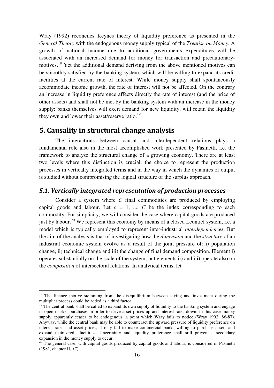Wray (1992) reconciles Keynes theory of liquidity preference as presented in the *General Theory* with the endogenous money supply typical of the *Treatise on Money*. A growth of national income due to additional governments expenditures will be associated with an increased demand for money for transaction and precautionarymotives.<sup>18</sup> Yet the additional demand deriving from the above mentioned motives can be smoothly satisfied by the banking system, which will be willing to expand its credit facilities at the current rate of interest. While money supply shall spontaneously accommodate income growth, the rate of interest will not be affected. On the contrary an increase in liquidity preference affects directly the rate of interest (and the price of other assets) and shall not be met by the banking system with an increase in the money supply: banks themselves will exert demand for new liquidity, will retain the liquidity they own and lower their asset/reserve ratio.<sup>19</sup>

## 5. Causality in structural change analysis

 The interactions between causal and interdependent relations plays a fundamental role also in the most accomplished work presented by Pasinetti, i.e. the framework to analyse the structural change of a growing economy. There are at least two levels where this distinction is crucial: the choice to represent the production processes in vertically integrated terms and in the way in which the dynamics of output is studied without compromising the logical structure of the surplus approach.

#### 5.1. Vertically integrated representation of production processes

 Consider a system where *C* final commodities are produced by employing capital goods and labour. Let  $c = 1$ , ...,  $C$  be the index corresponding to each commodity. For simplicity, we will consider the case where capital goods are produced just by labour.<sup>20</sup> We represent this economy by means of a closed Leontief system, i.e. a model which is typically employed to represent inter-industrial *interdependences*. But the aim of the analysis is that of investigating how the *dimension* and the *structure* of an industrial economic system evolve as a result of the joint pressure of: i) population change, ii) technical change and iii) the change of final demand composition. Element i) operates substantially on the scale of the system, but elements ii) and iii) operate also on the *composition* of intersectoral relations. In analytical terms, let

 $18$  The finance motive stemming from the disequilibrium between saving and investment during the multiplier process could be added as a third factor.

 $19$  The central bank shall be called to expand its own supply of liquidity to the banking system and engage in open market purchases in order to drive asset prices up and interest rates down: in this case money supply apparently ceases to be endogenous, a point which Wray fails to notice (Wray 1992: 86-87). Anyway, while the central bank may be able to counteract the upward pressure of liquidity preference on interest rates and asset prices, it may fail to make commercial banks willing to purchase assets and expand their credit facilities. Uncertainty and liquidity preference shall still prevent a secondary expansion in the money supply to occur.

<sup>&</sup>lt;sup>20</sup> The general case, with capital goods produced by capital goods and labour, is considered in Pasinetti (1981, chapter II, §7).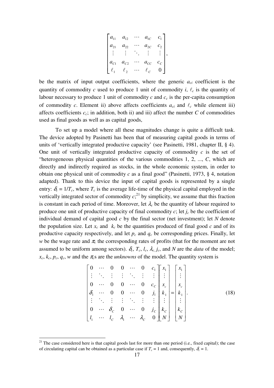$$
\begin{bmatrix} a_{11} & a_{12} & \cdots & a_{1C} & c_1 \\ a_{21} & a_{22} & \cdots & a_{2C} & c_2 \\ \vdots & \vdots & \ddots & \vdots & \vdots \\ a_{C1} & a_{C2} & \cdots & a_{CC} & c_C \\ \ell_1 & \ell_2 & \cdots & \ell_C & 0 \end{bmatrix},
$$

be the matrix of input output coefficients, where the generic  $a_{ci}$  coefficient is the quantity of commodity *c* used to produce 1 unit of commodity *i*,  $\ell_c$  is the quantity of labour necessary to produce 1 unit of commodity  $c$  and  $c_c$  is the per-capita consumption of commodity *c*. Element ii) above affects coefficients  $a_{ci}$  and  $\ell_c$  while element iii) affects coefficients  $c_c$ ; in addition, both ii) and iii) affect the number  $C$  of commodities used as final goods as well as as capital goods,

 To set up a model where all these magnitudes change is quite a difficult task. The device adopted by Pasinetti has been that of measuring capital goods in terms of units of 'vertically integrated productive capacity' (see Pasinetti, 1981, chapter II, § 4). One unit of vertically integrated productive capacity of commodity *c* is the set of "heterogeneous physical quantities of the various commodities 1, 2, ..., *C*, which are directly and indirectly required as stocks, in the whole economic system, in order to obtain one physical unit of commodity *c* as a final good" (Pasinetti, 1973, § 4, notation adapted). Thank to this device the input of capital goods is represented by a single entry:  $\delta_c = 1/T_c$ , where  $T_c$  is the average life-time of the physical capital employed in the vertically integrated sector of commodity  $c$ <sup>21</sup>, by simplicity, we assume that this fraction is constant in each period of time. Moreover, let  $\lambda_c$  be the quantity of labour required to produce one unit of productive capacity of final commodity  $c$ ; let  $j_c$  be the coefficient of individual demand of capital good *c* by the final sector (net investment); let *N* denote the population size. Let  $x_c$  and  $k_c$  be the quantities produced of final good  $c$  and of its productive capacity respectively, and let  $p_c$  and  $q_c$  be corresponding prices. Finally, let *w* be the wage rate and  $\pi_c$  the corresponding rates of profits (that for the moment are not assumed to be uniform among sectors).  $\delta_c$ ,  $T_c$ ,  $l_c$ ,  $\lambda_c$ ,  $j_c$ , and N are the *data* of the model;  $x_c, k_c, p_c, q_c, w$  and the  $\pi_c s$  are the *unknowns* of the model. The quantity system is

$$
\begin{bmatrix}\n0 & \cdots & 0 & 0 & \cdots & 0 & c_1 \\
\vdots & \ddots & \vdots & \vdots & \ddots & \vdots & \vdots \\
0 & \cdots & 0 & 0 & \cdots & 0 & c_c \\
\delta_1 & \cdots & 0 & 0 & \cdots & 0 & j_1 \\
\vdots & \ddots & \vdots & \vdots & \ddots & \vdots & \vdots \\
0 & \cdots & \delta_c & 0 & \cdots & 0 & j_c \\
l_1 & \cdots & l_c & \lambda_1 & \cdots & \lambda_c & 0\n\end{bmatrix}\n\begin{bmatrix}\nx_1 \\
x_2 \\
x_c \\
k_1 \\
\vdots \\
k_c \\
k_c\n\end{bmatrix} =\n\begin{bmatrix}\nx_1 \\
x_2 \\
x_c \\
\vdots \\
k_c \\
k_c \\
N\end{bmatrix}.
$$
\n(18)

 $21$  The case considered here is that capital goods last for more than one period (i.e., fixed capital); the case of circulating capital can be obtained as a particular case if  $T_c = 1$  and, consequently,  $\delta_c = 1$ .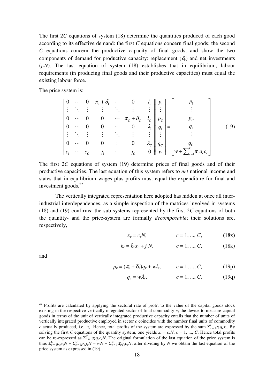The first 2*C* equations of system (18) determine the quantities produced of each good according to its effective demand: the first *C* equations concern final goods; the second *C* equations concern the productive capacity of final goods, and show the two components of demand for productive capacity: replacement  $(\delta_c)$  and net investments  $(i_cN)$ . The last equation of system (18) establishes that in equilibrium, labour requirements (in producing final goods and their productive capacities) must equal the existing labour force.

The price system is:

$$
\begin{bmatrix}\n0 & \cdots & 0 & \pi_1 + \delta_1 & \cdots & 0 & l_1 \\
\vdots & \ddots & \vdots & \vdots & \ddots & \vdots & \vdots \\
0 & \cdots & 0 & 0 & \cdots & \pi_c + \delta_c & l_c \\
0 & \cdots & 0 & 0 & \cdots & 0 & \lambda_1 \\
\vdots & \ddots & \vdots & \vdots & \ddots & \vdots & \vdots \\
0 & \cdots & 0 & 0 & \vdots & 0 & \lambda_c \\
c_1 & \cdots & c_c & j_1 & \cdots & j_c & 0\n\end{bmatrix}\n\begin{bmatrix}\np_1 \\
p_2 \\
p_c \\
q_1 \\
q_c \\
w\end{bmatrix} = \n\begin{bmatrix}\np_1 \\
\vdots \\
p_c \\
q_c \\
\vdots \\
w + \sum_{c=1}^C \pi_c q_c c_c\n\end{bmatrix}
$$
\n(19)

The first 2*C* equations of system (19) determine prices of final goods and of their productive capacities. The last equation of this system refers to *net* national income and states that in equilibrium wages plus profits must equal the expenditure for final and investment goods. $^{22}$ 

 The vertically integrated representation here adopted has hidden at once all interindustrial interdependences, as a simple inspection of the matrices involved in systems (18) and (19) confirms: the sub-systems represented by the first 2*C* equations of both the quantity- and the price-system are formally *decomposable*; their solutions are, respectively,

$$
x_c = c_c N, \t c = 1, ..., C, \t (18x)
$$

$$
k_c = \delta_c x_c + j_c N, \t c = 1, ..., C,
$$
 (18k)

and

$$
p_c = (\pi_c + \delta_c)q_c + w l_c, \qquad c = 1, ..., C,
$$
 (19p)

$$
q_c = w\lambda_c,
$$
  $c = 1, ..., C.$  (19q)

 $22$  Profits are calculated by applying the sectoral rate of profit to the value of the capital goods stock existing in the respective vertically integrated sector of final commodity *c*; the device to measure capital goods in terms of the unit of vertically integrated productive capacity entails that the number of units of vertically integrated productive employed in sector  $c$  coincides with the number final units of commodity *c* actually produced, i.e., *x<sub>c</sub>*. Hence, total profits of the system are expressed by the sum  $\Sigma_{c=1}^{C} \pi_c q_c x_c$ . By solving the first *C* equations of the quantity system, one yields  $x_c = c_c N$ ,  $c = 1, ..., C$ . Hence total profits can be re-expressed as  $\Sigma_{c=1}^C \pi_c q_c c_c N$ . The original formulation of the last equation of the price system is thus  $\Sigma_{c=1}^C p_c c_c N + \Sigma_{c=1}^C p_c j_c N = wN + \Sigma_{c=1}^C \pi_c q_c c_c N$ ; after dividing by N we obtain the last equation of the price system as expressed in (19).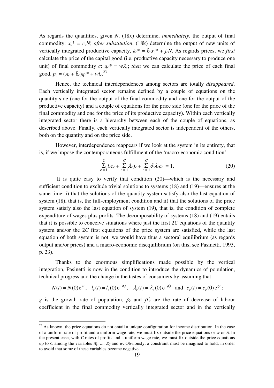As regards the quantities, given *N*, (18x) determine, *immediately*, the output of final commodity:  $x_c^* = c_c N$ ; *after substitution*, (18k) determine the output of new units of vertically integrated productive capacity,  $k_c^* = \delta_c x_c^* + j_c N$ . As regards prices, we *first* calculate the price of the capital good (i.e. productive capacity necessary to produce one unit) of final commodity *c*:  $q_c^* = w\lambda_c$ ; *then* we can calculate the price of each final good,  $p_c = (\pi_c + \delta_c)q_c^* + \nu l_c^{23}$ 

Hence, the technical interdependences among sectors are totally *disappeared*. Each vertically integrated sector remains defined by a couple of equations on the quantity side (one for the output of the final commodity and one for the output of the productive capacity) and a couple of equations for the price side (one for the price of the final commodity and one for the price of its productive capacity). Within each vertically integrated sector there is a hierarchy between each of the couple of equations, as described above. Finally, each vertically integrated sector is independent of the others, both on the quantity and on the price side.

However, interdependence reappears if we look at the system in its entirety, that is, if we impose the contemporaneous fulfillment of the 'macro-economic condition':

$$
\sum_{c=1}^{C} l_c c_c + \sum_{c=1}^{C} \lambda_c j_c + \sum_{c=1}^{C} \delta_c \lambda_c c_c = 1.
$$
 (20)

 It is quite easy to verify that condition (20)—which is the necessary and sufficient condition to exclude trivial solutions to systems (18) and (19)—ensures at the same time: i) that the solutions of the quantity system satisfy also the last equation of system (18), that is, the full-employment condition and ii) that the solutions of the price system satisfy also the last equation of system (19), that is, the condition of complete expenditure of wages plus profits. The decomposability of systems (18) and (19) entails that it is possible to conceive situations where just the first 2*C* equations of the quantity system and/or the 2*C* first equations of the price system are satisfied, while the last equation of both system is not: we would have thus a sectoral equilibrium (as regards output and/or prices) and a macro-economic disequilibrium (on this, see Pasinetti. 1993, p. 23).

Thanks to the enormous simplifications made possible by the vertical integration, Pasinetti is now in the condition to introduce the dynamics of population, technical progress and the change in the tastes of consumers by assuming that

$$
N(t) = N(0)e^{gt}
$$
,  $l_c(t) = l_c(0)e^{-\rho_c t}$ ,  $\lambda_c(t) = \lambda_c(0)e^{-\rho_c' t}$  and  $c_c(t) = c_c(0)e^{r_c t}$ :

*g* is the growth rate of population,  $\rho_c$  and  $\rho_c$  are the rate of decrease of labour coefficient in the final commodity vertically integrated sector and in the vertically

 $2<sup>23</sup>$  As known, the price equations do not entail a unique configuration for income distribution. In the case of a uniform rate of profit and a uniform wage rate, we must fix outside the price equations or *w* or  $\pi$ . In the present case, with *C* rates of profits and a uniform wage rate, we must fix outside the price equations up to *C* among the variables  $\pi_1$ , ...,  $\pi_C$  and *w*. Obviously, a constraint must be imagined to hold, in order to avoid that some of these variables become negative.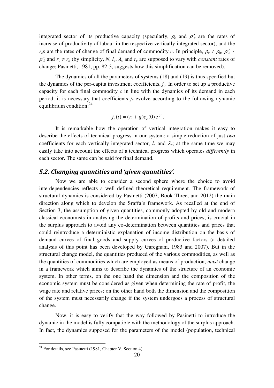integrated sector of its productive capacity (specularly,  $\rho_c$  and  $\rho_c'$  are the rates of increase of productivity of labour in the respective vertically integrated sector), and the *r*<sub>*c*</sub>s are the rates of change of final demand of commodity *c*. In principle,  $\rho_c \neq \rho_h$ ,  $\rho_c' \neq$  $\rho'_h$  and  $r_c \neq r_h$  (by simplicity, *N*, *l<sub>c</sub>*,  $\lambda_c$  and  $r_c$  are supposed to vary with *constant* rates of change; Pasinetti, 1981, pp. 82-3, suggests how this simplification can be removed).

The dynamics of all the parameters of systems (18) and (19) is thus specified but the dynamics of the per-capita investment coefficients, *jc*. In order to set up a productive capacity for each final commodity *c* in line with the dynamics of its demand in each period, it is necessary that coefficients  $j_c$  evolve according to the following dynamic equilibrium condition: $^{24}$ 

$$
j_c(t) = (r_c + g)c_c(0) e^{r_c t}
$$
.

 It is remarkable how the operation of vertical integration makes it easy to describe the effects of technical progress in our system: a simple reduction of just *two* coefficients for each vertically integrated sector,  $l_c$  and  $\lambda_c$ ; at the same time we may easily take into account the effects of a technical progress which operates *differently* in each sector. The same can be said for final demand.

#### 5.2. Changing quantities and 'given quantities'.

 Now we are able to consider a second sphere where the choice to avoid interdependencies reflects a well defined theoretical requirement. The framework of structural dynamics is considered by Pasinetti (2007, Book Three, and 2012) the main direction along which to develop the Sraffa's framework. As recalled at the end of Section 3, the assumption of given quantities, commonly adopted by old and modern classical economists in analysing the determination of profits and prices, is crucial in the surplus approach to avoid any co-determination between quantities and prices that could reintroduce a deterministic explanation of income distribution on the basis of demand curves of final goods and supply curves of productive factors (a detailed analysis of this point has been developed by Garegnani, 1983 and 2007). But in the structural change model, the quantities produced of the various commodities, as well as the quantities of commodities which are employed as means of production, *must* change in a framework which aims to describe the dynamics of the structure of an economic system. In other terms, on the one hand the dimension and the composition of the economic system must be considered as given when determining the rate of profit, the wage rate and relative prices; on the other hand both the dimension and the composition of the system must necessarily change if the system undergoes a process of structural change.

 Now, it is easy to verify that the way followed by Pasinetti to introduce the dynamic in the model is fully compatible with the methodology of the surplus approach. In fact, the dynamics supposed for the parameters of the model (population, technical

 $24$  For details, see Pasinetti (1981, Chapter V, Section 4).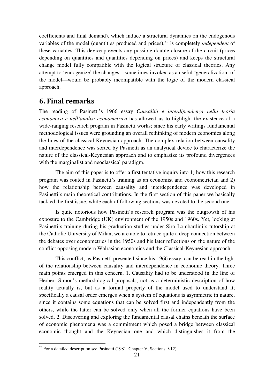coefficients and final demand), which induce a structural dynamics on the endogenous variables of the model (quantities produced and prices),<sup>25</sup> is completely *independent* of these variables. This device prevents any possible double closure of the circuit (prices depending on quantities and quantities depending on prices) and keeps the structural change model fully compatible with the logical structure of classical theories. Any attempt to 'endogenize' the changes—sometimes invoked as a useful 'generalization' of the model—would be probably incompatible with the logic of the modern classical approach.

## 6. Final remarks

The reading of Pasinetti's 1966 essay *Causalità e interdipendenza nella teoria economica e nell'analisi econometrica* has allowed us to highlight the existence of a wide-ranging research program in Pasinetti works; since his early writings fundamental methodological issues were grounding an overall rethinking of modern economics along the lines of the classical-Keynesian approach. The complex relation between causality and interdependence was sorted by Pasinetti as an analytical device to characterize the nature of the classical-Keynesian approach and to emphasize its profound divergences with the marginalist and neoclassical paradigm.

The aim of this paper is to offer a first tentative inquiry into 1) how this research program was routed in Pasinetti's training as an economist and econometrician and 2) how the relationship between causality and interdependence was developed in Pasinetti's main theoretical contributions. In the first section of this paper we basically tackled the first issue, while each of following sections was devoted to the second one.

Is quite notorious how Pasinetti's research program was the outgrowth of his exposure to the Cambridge (UK) environment of the 1950s and 1960s. Yet, looking at Pasinetti's training during his graduation studies under Siro Lombardini's tutorship at the Catholic University of Milan, we are able to retrace quite a deep connection between the debates over econometrics in the 1950s and his later reflections on the nature of the conflict opposing modern Walrasian economics and the Classical-Keynesian approach.

This conflict, as Pasinetti presented since his 1966 essay, can be read in the light of the relationship between causality and interdependence in economic theory. Three main points emerged in this concern. 1. Causality had to be understood in the line of Herbert Simon's methodological proposals, not as a deterministic description of how reality actually is, but as a formal property of the model used to understand it; specifically a causal order emerges when a system of equations is asymmetric in nature, since it contains some equations that can be solved first and independently from the others, while the latter can be solved only when all the former equations have been solved. 2. Discovering and exploring the fundamental causal chains beneath the surface of economic phenomena was a commitment which posed a bridge between classical economic thought and the Keynesian one and which distinguishes it from the

<sup>&</sup>lt;sup>25</sup> For a detailed description see Pasinetti (1981, Chapter V, Sections 9-12).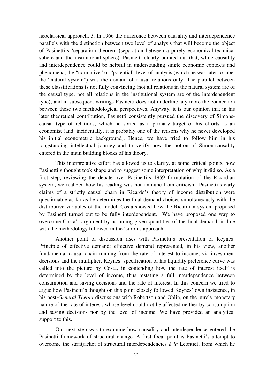neoclassical approach. 3. In 1966 the difference between causality and interdependence parallels with the distinction between two level of analysis that will become the object of Pasinetti's 'separation theorem (separation between a purely economical-technical sphere and the institutional sphere). Pasinetti clearly pointed out that, while causality and interdependence could be helpful in understanding single economic contexts and phenomena, the "normative" or "potential" level of analysis (which he was later to label the "natural system") was the domain of causal relations only. The parallel between these classifications is not fully convincing (not all relations in the natural system are of the causal type, not all relations in the institutional system are of the interdependent type); and in subsequent writings Pasinetti does not underline any more the connection between these two methodological perspectives. Anyway, it is our opinion that in his later theoretical contribution, Pasinetti consistently pursued the discovery of Simonscausal type of relations, which he sorted as a primary target of his efforts as an economist (and, incidentally, it is probably one of the reasons why he never developed his initial econometric background). Hence, we have tried to follow him in his longstanding intellectual journey and to verify how the notion of Simon-causality entered in the main building blocks of his theory.

This interpretative effort has allowed us to clarify, at some critical points, how Pasinetti's thought took shape and to suggest some interpretation of why it did so. As a first step, reviewing the debate over Pasinetti's 1959 formulation of the Ricardian system, we realized how his reading was not immune from criticism. Pasinetti's early claims of a strictly causal chain in Ricardo's theory of income distribution were questionable as far as he determines the final demand choices simultaneously with the distributive variables of the model. Costa showed how the Ricardian system proposed by Pasinetti turned out to be fully interdependent. We have proposed one way to overcome Costa's argument by assuming given quantities of the final demand, in line with the methodology followed in the 'surplus approach'.

Another point of discussion rises with Pasinetti's presentation of Keynes' Principle of effective demand: effective demand represented, in his view, another fundamental causal chain running from the rate of interest to income, via investment decisions and the multiplier. Keynes' specification of his liquidity preference curve was called into the picture by Costa, in contending how the rate of interest itself is determined by the level of income, thus restating a full interdependence between consumption and saving decisions and the rate of interest. In this concern we tried to argue how Pasinetti's thought on this point closely followed Keynes' own insistence, in his post-*General Theory* discussions with Robertson and Ohlin, on the purely monetary nature of the rate of interest, whose level could not be affected neither by consumption and saving decisions nor by the level of income. We have provided an analytical support to this.

Our next step was to examine how causality and interdependence entered the Pasinetti framework of structural change. A first focal point is Pasinetti's attempt to overcome the straitjacket of structural interdependencies *à la* Leontief, from which he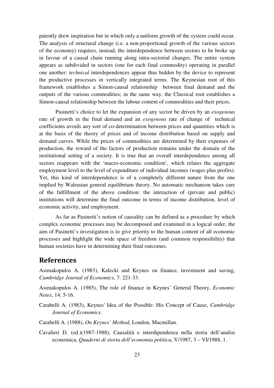patently drew inspiration but in which only a uniform growth of the system could occur. The analysis of structural change (i.e. a non-proportional growth of the various sectors of the economy) requires, instead, the interdependence between sectors to be broke up in favour of a causal chain running along intra-sectorial changes. The entire system appears as subdivided in sectors (one for each final commodity) operating in parallel one another: *technical* interdependences appear thus hidden by the device to represent the productive processes in vertically integrated terms. The Keynesian root of this framework establishes a Simon-causal relationship between final demand and the outputs of the various commodities; in the same way, the Classical root establishes a Simon-causal relationship between the labour content of commodities and their prices.

Pasinetti's choice to let the expansion of any sector be driven by an *exogenous* rate of growth in the final demand and an *exogenous* rate of change of technical coefficients avoids any sort of co-determination between prices and quantities which is at the basis of the theory of prices and of income distribution based on supply and demand curves. While the prices of commodities are determined by their expenses of production, the reward of the factors of production remains under the domain of the institutional setting of a society. It is true that an overall interdependence among all sectors reappears with the 'macro-economic condition', which relates the aggregate employment level to the level of expenditure of individual incomes (wages plus profits). Yet, this kind of interdependence is of a completely different nature from the one implied by Walrasian general equilibrium theory. No automatic mechanism takes care of the fulfillment of the above condition: the interaction of (private and public) institutions will determine the final outcome in terms of income distribution, level of economic activity, and employment.

As far as Pasinetti's notion of causality can be defined as a procedure by which complex economic processes may be decomposed and examined in a logical order, the aim of Pasinetti's investigation is to give priority to the human content of all economic processes and highlight the wide space of freedom (and common responsibility) that human societies have in determining their final outcomes.

#### References

Asimakopulos A. (1983), Kalecki and Keynes on finance, investment and saving, *Cambridge Journal of Economics*, 7: 221-33.

Asimakopulos A. (1985), The role of finance in Keynes' General Theory, *Economic Notes*, 14: 5-16.

Carabelli A. (1983), Keynes' Idea of the Possible: His Concept of Cause, *Cambridge Journal of Economics*.

Carabelli A. (1988), *On Keynes' Method*, London, Macmillan.

Cavalieri D. (ed.)(1987-1988), Causalità e interdipendenza nella storia dell'analisi economica, *Quaderni di storia dell'economia politica*, V/1987, 3 – VI/1988, 1.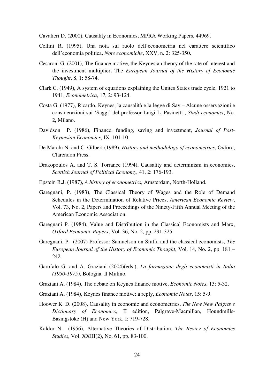Cavalieri D. (2000), Causality in Economics, MPRA Working Papers, 44969.

- Cellini R. (1995), Una nota sul ruolo dell'econometria nel carattere scientifico dell'economia politica, *Note economiche*, XXV, n. 2: 325-350.
- Cesaroni G. (2001), The finance motive, the Keynesian theory of the rate of interest and the investment multiplier, The *European Journal of the History of Economic Thought*, 8, 1: 58-74.
- Clark C. (1949), A system of equations explaining the Unites States trade cycle, 1921 to 1941, *Econometrica*, 17, 2: 93-124.
- Costa G. (1977), Ricardo, Keynes, la causalità e la legge di Say Alcune osservazioni e considerazioni sui 'Saggi' del professor Luigi L. Pasinetti , *Studi economici*, No. 2, Milano.
- Davidson P. (1986), Finance, funding, saving and investment, *Journal of Post-Keynesian Economics*, IX: 101-10.
- De Marchi N. and C. Gilbert (1989), *History and methodology of econometrics*, Oxford, Clarendon Press.
- Drakopoulos A. and T. S. Torrance (1994), Causality and determinism in economics, *Scottish Journal of Political Economy*, 41, 2: 176-193.
- Epstein R.J. (1987), *A history of econometrics*, Amsterdam, North-Holland.
- Garegnani, P. (1983), The Classical Theory of Wages and the Role of Demand Schedules in the Determination of Relative Prices, *American Economic Review*, Vol. 73, No. 2, Papers and Proceedings of the Ninety-Fifth Annual Meeting of the American Economic Association.
- Garegnani P. (1984), Value and Distribution in the Classical Economists and Marx, *Oxford Economic Papers*, Vol. 36, No. 2, pp. 291-325.
- Garegnani, P. (2007) Professor Samuelson on Sraffa and the classical economists, *The European Journal of the History of Economic Thought*, Vol. 14, No. 2, pp. 181 – 242
- Garofalo G. and A. Graziani (2004)(eds.), *La formazione degli economisti in Italia (1950-1975)*, Bologna, Il Mulino.
- Graziani A. (1984), The debate on Keynes finance motive, *Economic Notes*, 13: 5-32.
- Graziani A. (1984), Keynes finance motive: a reply, *Economic Notes*, 15: 5-9.
- Hoower K. D. (2008), Causality in economic and econometrics, *The New New Palgrave Dictionary of Economics*, II edition, Palgrave-Macmillan, Houndmills-Basingstoke (H) and New York, I: 719-728.
- Kaldor N. (1956), Alternative Theories of Distribution, *The Reviev of Economics Studies*, Vol. XXIII(2), No. 61, pp. 83-100.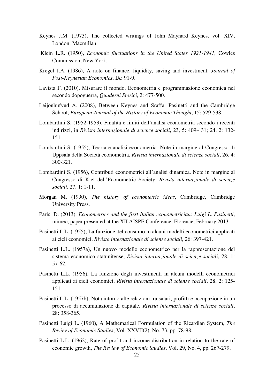- Keynes J.M. (1973), The collected writings of John Maynard Keynes, vol. XIV, London: Macmillan.
- Klein L.R. (1950), *Economic fluctuations in the United States 1921-1941*, Cowles Commission, New York.
- Kregel J.A. (1986), A note on finance, liquidity, saving and investment, *Journal of Post-Keynesian Economics*, IX: 91-9.
- Lavista F. (2010), Misurare il mondo. Econometria e programmazione economica nel secondo dopoguerra, *Quaderni Storici*, 2: 477-500.
- Leijonhufvud A. (2008), Between Keynes and Sraffa. Pasinetti and the Cambridge School, *European Journal of the History of Economic Thought*, 15: 529-538.
- Lombardini S. (1952-1953), Finalità e limiti dell'analisi econometria secondo i recenti indirizzi, in *Rivista internazionale di scienze sociali*, 23, 5: 409-431; 24, 2: 132- 151.
- Lombardini S. (1955), Teoria e analisi econometria. Note in margine al Congresso di Uppsala della Società econometria, *Rivista internazionale di scienze sociali*, 26, 4: 300-321.
- Lombardini S. (1956), Contributi econometrici all'analisi dinamica. Note in margine al Congresso di Kiel dell'Econometric Society, *Rivista internazionale di scienze sociali*, 27, 1: 1-11.
- Morgan M. (1990), *The history of econometric ideas*, Cambridge, Cambridge University Press.
- Parisi D. (2013), *Econometrics and the first Italian econometrician: Luigi L. Pasinetti*, mimeo, paper presented at the XII AISPE Conference, Florence, February 2013.
- Pasinetti L.L. (1955), La funzione del consumo in alcuni modelli econometrici applicati ai cicli economici, *Rivista internazionale di scienze sociali*, 26: 397-421.
- Pasinetti L.L. (1957a), Un nuovo modello econometrico per la rappresentazione del sistema economico statunitense, *Rivista internazionale di scienze sociali*, 28, 1: 57-62.
- Pasinetti L.L. (1956), La funzione degli investimenti in alcuni modelli econometrici applicati ai cicli economici, *Rivista internazionale di scienze sociali*, 28, 2: 125- 151.
- Pasinetti L.L. (1957b), Nota intorno alle relazioni tra salari, profitti e occupazione in un processo di accumulazione di capitale, *Rivista internazionale di scienze sociali*, 28: 358-365.
- Pasinetti Luigi L. (1960), A Mathematical Formulation of the Ricardian System, *The Reviev of Economic Studies*, Vol. XXVII(2), No. 73, pp. 78-98.
- Pasinetti L.L. (1962), Rate of profit and income distribution in relation to the rate of economic growth, *The Review of Economic Studies*, Vol. 29, No. 4, pp. 267-279.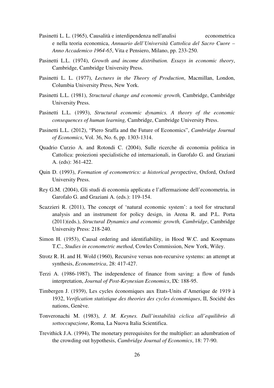- Pasinetti L. L. (1965), Causalità e interdipendenza nell'analisi econometrica e nella teoria economica, *Annuario dell'Università Cattolica del Sacro Cuore – Anno Accademico 1964-65*, Vita e Pensiero, Milano, pp. 233-250.
- Pasinetti L.L. (1974), *Growth and income distribution. Essays in economic theory*, Cambridge, Cambridge University Press.
- Pasinetti L. L. (1977), *Lectures in the Theory of Production*, Macmillan, London, Columbia University Press, New York.
- Pasinetti L.L. (1981), *Structural change and economic growth,* Cambridge, Cambridge University Press.
- Pasinetti L.L. (1993), *Structural economic dynamics. A theory of the economic consequences of human learning,* Cambridge, Cambridge University Press.
- Pasinetti L.L. (2012), "Piero Sraffa and the Future of Economics", *Cambridge Journal of Economics*, Vol. 36, No. 6, pp. 1303-1314.
- Quadrio Curzio A. and Rotondi C. (2004), Sulle ricerche di economia politica in Cattolica: proiezioni specialistiche ed internazionali, in Garofalo G. and Graziani A. (eds): 361-422.
- Quin D. (1993), *Formation of econometrics: a historical pers*pective, Oxford, Oxford University Press.
- Rey G.M. (2004), Gli studi di economia applicata e l'affermazione dell'econometria, in Garofalo G. and Graziani A. (eds.): 119-154.
- Scazzieri R. (2011), The concept of 'natural economic system': a tool for structural analysis and an instrument for policy design, in Arena R. and P.L. Porta (2011)(eds.), *Structural Dynamics and economic growth, Cambridge*, Cambridge University Press: 218-240.
- Simon H. (1953), Causal ordering and identifiability, in Hood W.C. and Koopmans T.C., *Studies in econometric method*, Cowles Commission, New York, Wiley.
- Strotz R. H. and H. Wold (1960), Recursive versus non-recursive systems: an attempt at synthesis, *Econometrica*, 28: 417-427.
- Terzi A. (1986-1987), The independence of finance from saving: a flow of funds interpretation, *Journal of Post-Keynesian Economics*, IX: 188-95.
- Timbergen J. (1939), Les cycles économiques aux Etats-Units d'Amerique de 1919 à 1932, *Verification statistique des theories des cycles économiques*, II, Société des nations, Genève.
- Tonveronachi M. (1983), *J. M. Keynes. Dall'instabilità ciclica all'equilibrio di sottoccupazione*, Roma, La Nuova Italia Scientifica.
- Trevithick J.A. (1994), The monetary prerequisites for the multiplier: an adumbration of the crowding out hypothesis, *Cambridge Journal of Economics*, 18: 77-90.